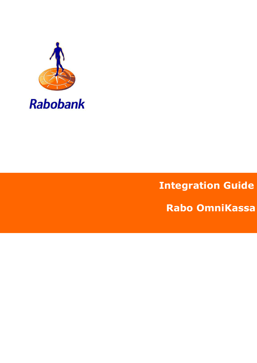

# **Integration Guide**

**Rabo OmniKassa**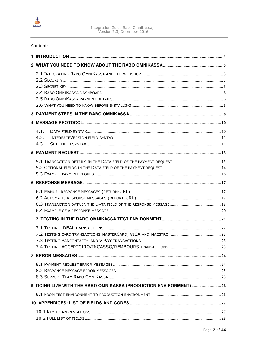

| Contents                                                         |  |
|------------------------------------------------------------------|--|
|                                                                  |  |
|                                                                  |  |
|                                                                  |  |
|                                                                  |  |
|                                                                  |  |
|                                                                  |  |
|                                                                  |  |
|                                                                  |  |
|                                                                  |  |
| 4.1.                                                             |  |
| 4.2.                                                             |  |
| 4.3.                                                             |  |
|                                                                  |  |
|                                                                  |  |
|                                                                  |  |
|                                                                  |  |
|                                                                  |  |
|                                                                  |  |
|                                                                  |  |
|                                                                  |  |
|                                                                  |  |
|                                                                  |  |
|                                                                  |  |
|                                                                  |  |
|                                                                  |  |
|                                                                  |  |
|                                                                  |  |
|                                                                  |  |
|                                                                  |  |
| 9. GOING LIVE WITH THE RABO OMNIKASSA (PRODUCTION ENVIRONMENT)26 |  |
|                                                                  |  |
|                                                                  |  |
|                                                                  |  |
|                                                                  |  |
|                                                                  |  |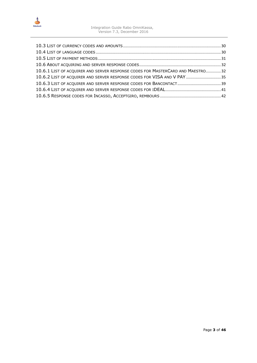

| 10.6.1 LIST OF ACQUIRER AND SERVER RESPONSE CODES FOR MASTERCARD AND MAESTRO 32 |  |
|---------------------------------------------------------------------------------|--|
| 10.6.2 LIST OF ACQUIRER AND SERVER RESPONSE CODES FOR VISA AND V PAY  35        |  |
|                                                                                 |  |
|                                                                                 |  |
|                                                                                 |  |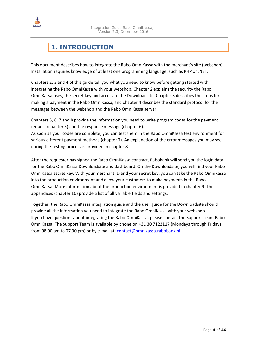<span id="page-3-0"></span>

## **1. INTRODUCTION**

This document describes how to integrate the Rabo OmniKassa with the merchant's site (webshop). Installation requires knowledge of at least one programming language, such as PHP or .NET.

Chapters 2, 3 and 4 of this guide tell you what you need to know before getting started with integrating the Rabo OmniKassa with your webshop. Chapter 2 explains the security the Rabo OmniKassa uses, the secret key and access to the Downloadsite. Chapter 3 describes the steps for making a payment in the Rabo OmniKassa, and chapter 4 describes the standard protocol for the messages between the webshop and the Rabo OmniKassa server.

Chapters 5, 6, 7 and 8 provide the information you need to write program codes for the payment request (chapter 5) and the response message (chapter 6).

As soon as your codes are complete, you can test them in the Rabo OmniKassa test environment for various different payment methods (chapter 7). An explanation of the error messages you may see during the testing process is provided in chapter 8.

After the requester has signed the Rabo OmniKassa contract, Rabobank will send you the login data for the Rabo OmniKassa Downloadsite and dashboard. On the Downloadsite, you will find your Rabo OmniKassa secret key. With your merchant ID and your secret key, you can take the Rabo OmniKassa into the production environment and allow your customers to make payments in the Rabo OmniKassa. More information about the production environment is provided in chapter 9. The appendices (chapter 10) provide a list of all variable fields and settings.

Together, the Rabo OmniKassa integration guide and the user guide for the Downloadsite should provide all the information you need to integrate the Rabo OmniKassa with your webshop. If you have questions about integrating the Rabo OmniKassa, please contact the Support Team Rabo OmniKassa. The Support Team is available by phone on +31 30 7122117 (Mondays through Fridays from 08.00 am to 07.30 pm) or by e-mail at: [contact@omnikassa.rabobank.nl.](mailto:contact@omnikassa.rabobank.nl)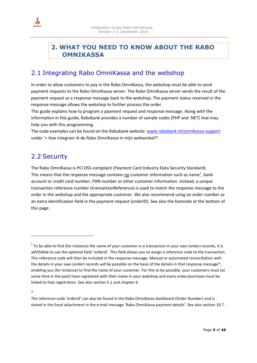<span id="page-4-0"></span>

### **2. WHAT YOU NEED TO KNOW ABOUT THE RABO OMNIKASSA**

### 2.1 Integrating Rabo OmniKassa and the webshop

In order to allow customers to pay in the Rabo OmniKassa, the webshop must be able to send payment requests to the Rabo OmniKassa server. The Rabo OmniKassa server sends the result of the payment request as a response message back to the webshop. The payment status received in the response message allows the webshop to further process the order.

This guide explains how to program a payment request and response message. Along with the information in this guide, Rabobank provides a number of sample codes (PHP and .NET) that may help you with this programming.

The code examples can be found on the Rabobank website: [www.rabobank.nl/omnikassa-support](http://www.rabobank.nl/omnikassa-support) under '+ Hoe integreer ik de Rabo OmniKassa in mijn webwinkel?'.

### 2.2 Security

The Rabo OmniKassa is PCI DSS-compliant (Payment Card Industry Data Security Standard). This means that the response message contains no customer information such as name<sup>1</sup>, bank account or credit card number, PAN number or other customer information. Instead, a unique transaction reference number (transactionReference) is used to match the response message to the order in the webshop and the appropriate customer. We also recommend using an order number as an extra identification field in the payment request (orderID). See also the footnote at the bottom of this page.

\*

 $\overline{\phantom{0}}$ 

 $^1$  To be able to find (for instance) the name of your customer in a transaction in your own (order) records, it is adVISAble to use the optional field 'orderId'. This field allows you to assign a reference code to the transaction. This reference code will then be included in the response message. Manual or automated reconciliation with the details in your own (order) records will be possible on the basis of the details in that response message\*, enabling you (for instance) to find the name of your customer. For this to be possible, your customers must (at some time in the past) have registered with their name in your webshop and every order/purchase must be linked to that registration. See also section 5.1 and chapter 6.

The reference code 'orderId' can also be found in the Rabo OmniKassa dashboard (Order Number) and is stated in the Excel attachment in the e-mail message 'Rabo OmniKassa payment details'. See also section 10.7.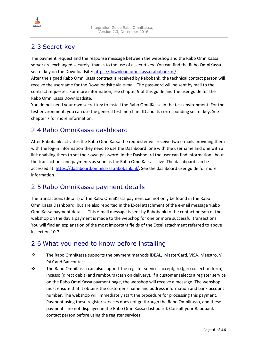

### <span id="page-5-0"></span>2.3 Secret key

The payment request and the response message between the webshop and the Rabo OmniKassa server are exchanged securely, thanks to the use of a secret key. You can find the Rabo OmniKassa secret key on the Downloadsite: [https://download.omnikassa.rabobank.nl/.](https://download.omnikassa.rabobank.nl/) 

After the signed Rabo OmniKassa contract is received by Rabobank, the technical contact person will receive the username for the Downloadsite via e-mail. The password will be sent by mail to the contract requester. For more information, see chapter 9 of this guide and the user guide for the Rabo OmniKassa Downloadsite.

You do not need your own secret key to install the Rabo OmniKassa in the test environment. For the test environment, you can use the general test merchant ID and its corresponding secret key. See chapter 7 for more information.

### 2.4 Rabo OmniKassa dashboard

After Rabobank activates the Rabo OmniKassa the requester will receive two e-mails providing them with the log-in information they need to use the Dashboard: one with the username and one with a link enabling them to set their own password. In the Dashboard the user can find information about the transactions and payments as soon as the Rabo OmniKassa is live. The dashboard can be accessed at: [https://dashboard.omnikassa.rabobank.nl/.](https://dashboard.omnikassa.rabobank.nl/) See the dashboard user guide for more information.

### 2.5 Rabo OmniKassa payment details

The transactions (details) of the Rabo OmniKassa payment can not only be found in the Rabo OmniKassa Dashboard, but are also reported in the Excel attachment of the e-mail message 'Rabo OmniKassa payment details'. This e-mail message is sent by Rabobank to the contact person of the webshop on the day a payment is made to the webshop for one or more successful transactions. You will find an explanation of the most important fields of the Excel attachment referred to above in section 10.7.

### 2.6 What you need to know before installing

- The Rabo OmniKassa supports the payment methods iDEAL, MasterCard, VISA, Maestro, V PAY and Bancontact.
- $\mathbf{\hat{P}}$  The Rabo OmniKassa can also support the register services acceptgiro (giro collection form), incasso (direct debit) and rembours (cash on delivery). If a customer selects a register service on the Rabo OmniKassa payment page, the webshop will receive a message. The webshop must ensure that it obtains the customer's name and address information and bank account number. The webshop will immediately start the procedure for processing this payment. Payment using these register services does not go through the Rabo OmniKassa, and these payments are not displayed in the Rabo OmniKassa dashboard. Consult your Rabobank contact person before using the register services.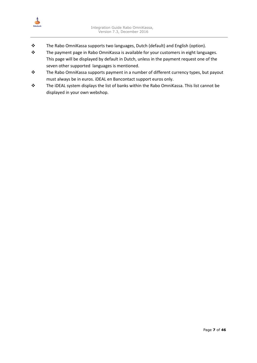

- \* The Rabo OmniKassa supports two languages, Dutch (default) and English (option).
- \* The payment page in Rabo OmniKassa is available for your customers in eight languages. This page will be displayed by default in Dutch, unless in the payment request one of the seven other supported languages is mentioned.
- \* The Rabo OmniKassa supports payment in a number of different currency types, but payout must always be in euros. iDEAL en Bancontact support euros only.
- \* The iDEAL system displays the list of banks within the Rabo OmniKassa. This list cannot be displayed in your own webshop.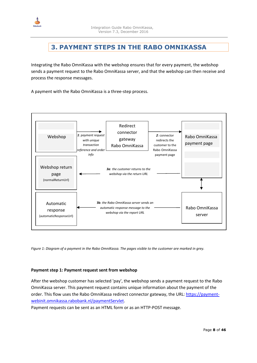<span id="page-7-0"></span>

## **3. PAYMENT STEPS IN THE RABO OMNIKASSA**

Integrating the Rabo OmniKassa with the webshop ensures that for every payment, the webshop sends a payment request to the Rabo OmniKassa server, and that the webshop can then receive and process the response messages.

A payment with the Rabo OmniKassa is a three-step process.



*Figure 1: Diagram of a payment in the Rabo OmniKassa. The pages visible to the customer are marked in grey.* 

#### **Payment step 1: Payment request sent from webshop**

After the webshop customer has selected 'pay', the webshop sends a payment request to the Rabo OmniKassa server. This payment request contains unique information about the payment of the order. This flow uses the Rabo OmniKassa redirect connector gateway, the URL: [https://payment](https://payment-webinit.omnikassa.rabobank.nl/paymentServlet)[webinit.omnikassa.rabobank.nl/paymentServlet.](https://payment-webinit.omnikassa.rabobank.nl/paymentServlet) 

Payment requests can be sent as an HTML form or as an HTTP-POST message.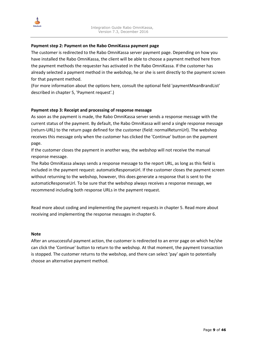

#### **Payment step 2: Payment on the Rabo OmniKassa payment page**

The customer is redirected to the Rabo OmniKassa server payment page. Depending on how you have installed the Rabo OmniKassa, the client will be able to choose a payment method here from the payment methods the requester has activated in the Rabo OmniKassa. If the customer has already selected a payment method in the webshop, he or she is sent directly to the payment screen for that payment method.

(For more information about the options here, consult the optional field 'paymentMeanBrandList' described in chapter 5, 'Payment request'.)

#### **Payment step 3: Receipt and processing of response message**

As soon as the payment is made, the Rabo OmniKassa server sends a response message with the current status of the payment. By default, the Rabo OmniKassa will send a single response message (return-URL) to the return page defined for the customer (field: normalReturnUrl). The webshop receives this message only when the customer has clicked the 'Continue' button on the payment page.

If the customer closes the payment in another way, the webshop will not receive the manual response message.

The Rabo OmniKassa always sends a response message to the report URL, as long as this field is included in the payment request: automaticResponseUrl. If the customer closes the payment screen without returning to the webshop, however, this does generate a response that is sent to the automaticResponseUrl. To be sure that the webshop always receives a response message, we recommend including both response URLs in the payment request.

Read more about coding and implementing the payment requests in chapter 5. Read more about receiving and implementing the response messages in chapter 6.

#### **Note**

After an unsuccessful payment action, the customer is redirected to an error page on which he/she can click the 'Continue' button to return to the webshop. At that moment, the payment transaction is stopped. The customer returns to the webshop, and there can select 'pay' again to potentially choose an alternative payment method.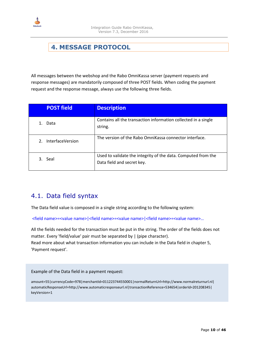<span id="page-9-0"></span>

## **4. MESSAGE PROTOCOL**

All messages between the webshop and the Rabo OmniKassa server (payment requests and response messages) are mandatorily composed of three POST fields. When coding the payment request and the response message, always use the following three fields.

| <b>POST field</b>                         | <b>Description</b>                                                                          |
|-------------------------------------------|---------------------------------------------------------------------------------------------|
| Data                                      | Contains all the transaction information collected in a single<br>string.                   |
| <b>InterfaceVersion</b><br>2 <sub>1</sub> | The version of the Rabo OmniKassa connector interface.                                      |
| Seal<br>3.                                | Used to validate the integrity of the data. Computed from the<br>Data field and secret key. |

### 4.1. Data field syntax

The Data field value is composed in a single string according to the following system:

<field name>=<value name>|<field name>=<value name>|<field name>=<value name>…

All the fields needed for the transaction must be put in the string. The order of the fields does not matter. Every 'field/value' pair must be separated by | (pipe character). Read more about what transaction information you can include in the Data field in chapter 5, 'Payment request'.

Example of the Data field in a payment request:

amount=55|currencyCode=978|merchantId=011223744550001|normalReturnUrl=http://www.normalreturnurl.nl| automaticResponseUrl=http://www.automaticresponseurl.nl|transactionReference=534654|orderId=201208345| keyVersion=1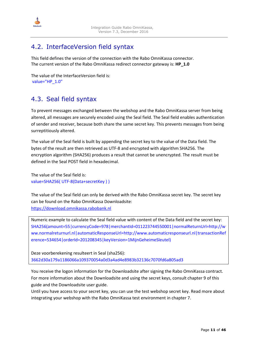<span id="page-10-0"></span>

### 4.2. InterfaceVersion field syntax

This field defines the version of the connection with the Rabo OmniKassa connector. The current version of the Rabo OmniKassa redirect connector gateway is: **HP\_1.0** 

```
The value of the InterfaceVersion field is: 
value="HP_1.0"
```
### 4.3. Seal field syntax

To prevent messages exchanged between the webshop and the Rabo OmniKassa server from being altered, all messages are securely encoded using the Seal field. The Seal field enables authentication of sender and receiver, because both share the same secret key. This prevents messages from being surreptitiously altered.

The value of the Seal field is built by appending the secret key to the value of the Data field. The bytes of the result are then retrieved as UTF-8 and encrypted with algorithm SHA256. The encryption algorithm (SHA256) produces a result that cannot be unencrypted. The result must be defined in the Seal POST field in hexadecimal.

The value of the Seal field is: value=SHA256( UTF-8(Data+secretKey ) )

The value of the Seal field can only be derived with the Rabo OmniKassa secret key. The secret key can be found on the Rabo OmniKassa Downloadsite: [https://download.omnikassa.rabobank.nl](https://download.omnikassa.rabobank.nl/)

Numeric example to calculate the Seal field value with content of the Data field and the secret key: SHA256(amount=55|currencyCode=978|merchantId=011223744550001|normalReturnUrl=http://w ww.normalreturnurl.nl|automaticResponseUrl=http://www.automaticresponseurl.nl|transactionRef erence=534654|orderId=201208345|keyVersion=1MijnGeheimeSleutel)

Deze voorberekening resulteert in Seal (sha256): 3662d30a179a1186066a109370054a0d3a4ad4e8983b32136c7070fd6a805ad3

You receive the logon information for the Downloadsite after signing the Rabo OmniKassa contract. For more information about the Downloadsite and using the secret keys, consult chapter 9 of this guide and the Downloadsite user guide.

Until you have access to your secret key, you can use the test webshop secret key. Read more about integrating your webshop with the Rabo OmniKassa test environment in chapter 7.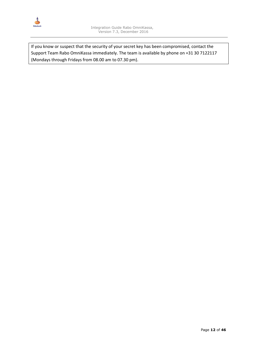

If you know or suspect that the security of your secret key has been compromised, contact the Support Team Rabo OmniKassa immediately. The team is available by phone on +31 30 7122117 (Mondays through Fridays from 08.00 am to 07.30 pm).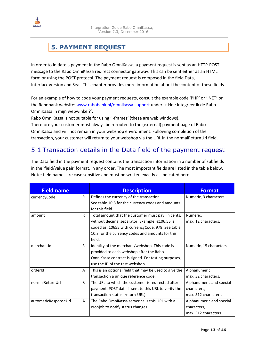<span id="page-12-0"></span>

## **5. PAYMENT REQUEST**

In order to initiate a payment in the Rabo OmniKassa, a payment request is sent as an HTTP-POST message to the Rabo OmniKassa redirect connector gateway. This can be sent either as an HTML form or using the POST protocol. The payment request is composed in the field Data, InterfaceVersion and Seal. This chapter provides more information about the content of these fields.

For an example of how to code your payment requests, consult the example code 'PHP' or '.NET' on the Rabobank website: [www.rabobank.nl/omnikassa-support](http://www.rabobank.nl/omnikassa-support) under '+ Hoe integreer ik de Rabo OmniKassa in mijn webwinkel?'.

Rabo OmniKassa is not suitable for using 'i-frames' (these are web windows).

Therefore your customer must always be rerouted to the (external) payment page of Rabo OmniKassa and will not remain in your webshop environment. Following completion of the transaction, your customer will return to your webshop via the URL in the normalReturnUrl field.

### 5.1 Transaction details in the Data field of the payment request

The Data field in the payment request contains the transaction information in a number of subfields in the 'field/value pair' format, in any order. The most important fields are listed in the table below. Note: field names are case sensitive and must be written exactly as indicated here.

| <b>Field name</b>    |    | <b>Description</b>                                     | <b>Format</b>            |
|----------------------|----|--------------------------------------------------------|--------------------------|
| currencyCode         | R. | Defines the currency of the transaction.               | Numeric, 3 characters.   |
|                      |    | See table 10.3 for the currency codes and amounts      |                          |
|                      |    | for this field.                                        |                          |
| amount               | R  | Total amount that the customer must pay, in cents,     | Numeric,                 |
|                      |    | without decimal separator. Example: €106.55 is         | max. 12 characters.      |
|                      |    | coded as: 10655 with currencyCode: 978. See table      |                          |
|                      |    | 10.3 for the currency codes and amounts for this       |                          |
|                      |    | field.                                                 |                          |
| merchantId           | R  | Identity of the merchant/webshop. This code is         | Numeric, 15 characters.  |
|                      |    | provided to each webshop after the Rabo                |                          |
|                      |    | OmniKassa contract is signed. For testing purposes,    |                          |
|                      |    | use the ID of the test webshop.                        |                          |
| orderId              | A  | This is an optional field that may be used to give the | Alphanumeric,            |
|                      |    | transaction a unique reference code.                   | max. 32 characters.      |
| normalReturnUrl      | R  | The URL to which the customer is redirected after      | Alphanumeric and special |
|                      |    | payment. POST data is sent to this URL to verify the   | characters,              |
|                      |    | transaction status (return-URL).                       | max. 512 characters.     |
| automaticResponseUrl | A  | The Rabo OmniKassa server calls this URL with a        | Alphanumeric and special |
|                      |    | cronjob to notify status changes.                      | characters,              |
|                      |    |                                                        | max. 512 characters.     |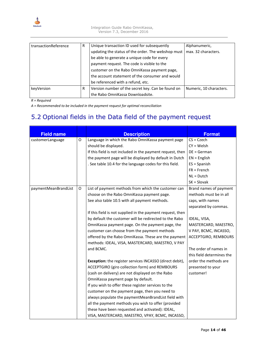<span id="page-13-0"></span>

| transactionReference | R | Unique transaction ID used for subsequently        | Alphanumeric,           |
|----------------------|---|----------------------------------------------------|-------------------------|
|                      |   | updating the status of the order. The webshop must | max. 32 characters.     |
|                      |   | be able to generate a unique code for every        |                         |
|                      |   | payment request. The code is visible to the        |                         |
|                      |   | customer on the Rabo OmniKassa payment page,       |                         |
|                      |   | the account statement of the consumer and would    |                         |
|                      |   | be referenced with a refund, etc.                  |                         |
| keyVersion           | R | Version number of the secret key. Can be found on  | Numeric, 10 characters. |
|                      |   | the Rabo OmniKassa Downloadsite.                   |                         |

#### *R = Required*

*A = Recommended to be included in the payment request for optimal reconciliation* 

## 5.2 Optional fields in the Data field of the payment request

| <b>Field name</b>    |   | <b>Description</b>                                         | <b>Format</b>             |
|----------------------|---|------------------------------------------------------------|---------------------------|
| customerLanguage     | O | Language in which the Rabo OmniKassa payment page          | $CS = Czech$              |
|                      |   | should be displayed.                                       | $CY = Welsh$              |
|                      |   | If this field is not included in the payment request, then | $DE = German$             |
|                      |   | the payment page will be displayed by default in Dutch     | $EN = English$            |
|                      |   | . See table 10.4 for the language codes for this field.    | $ES = Spanish$            |
|                      |   |                                                            | $FR =$ French             |
|                      |   |                                                            | $NL = Dutch$              |
|                      |   |                                                            | $SK =$ Slovak             |
| paymentMeanBrandList | O | List of payment methods from which the customer can        | Brand names of payment    |
|                      |   | choose on the Rabo OmniKassa payment page.                 | methods must be in all    |
|                      |   | See also table 10.5 with all payment methods.              | caps, with names          |
|                      |   |                                                            | separated by commas.      |
|                      |   | If this field is not supplied in the payment request, then |                           |
|                      |   | by default the customer will be redirected to the Rabo     | IDEAL, VISA,              |
|                      |   | OmniKassa payment page. On the payment page, the           | MASTERCARD, MAESTRO,      |
|                      |   | customer can choose from the payment methods               | V PAY, BCMC, INCASSO,     |
|                      |   | offered by the Rabo OmniKassa. These are the payment       | ACCEPTGIRO, REMBOURS      |
|                      |   | methods: IDEAL, VISA, MASTERCARD, MAESTRO, V PAY           |                           |
|                      |   | and BCMC.                                                  | The order of names in     |
|                      |   |                                                            | this field determines the |
|                      |   | Exception: the register services INCASSO (direct debit),   | order the methods are     |
|                      |   | ACCEPTGIRO (giro collection form) and REMBOURS             | presented to your         |
|                      |   | (cash on delivery) are not displayed on the Rabo           | customer!                 |
|                      |   | OmniKassa payment page by default.                         |                           |
|                      |   | If you wish to offer these register services to the        |                           |
|                      |   | customer on the payment page, then you need to             |                           |
|                      |   | always populate the paymentMeanBrandList field with        |                           |
|                      |   | all the payment methods you wish to offer (provided        |                           |
|                      |   | these have been requested and activated): IDEAL,           |                           |
|                      |   | VISA, MASTERCARD, MAESTRO, VPAY, BCMC, INCASSO,            |                           |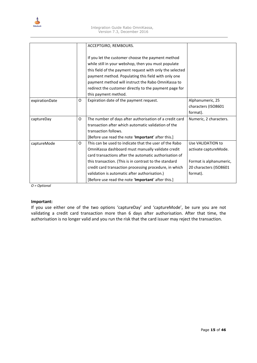

|                |   | ACCEPTGIRO, REMBOURS.                                    |                         |
|----------------|---|----------------------------------------------------------|-------------------------|
|                |   |                                                          |                         |
|                |   | If you let the customer choose the payment method        |                         |
|                |   | while still in your webshop, then you must populate      |                         |
|                |   | this field of the payment request with only the selected |                         |
|                |   | payment method. Populating this field with only one      |                         |
|                |   | payment method will instruct the Rabo OmniKassa to       |                         |
|                |   | redirect the customer directly to the payment page for   |                         |
|                |   | this payment method.                                     |                         |
| expirationDate | O | Expiration date of the payment request.                  | Alphanumeric, 25        |
|                |   |                                                          | characters (ISO8601     |
|                |   |                                                          | format).                |
| captureDay     | 0 | The number of days after authorisation of a credit card  | Numeric, 2 characters.  |
|                |   | transaction after which automatic validation of the      |                         |
|                |   | transaction follows.                                     |                         |
|                |   | [Before use read the note 'Important' after this.]       |                         |
| captureMode    | 0 | This can be used to indicate that the user of the Rabo   | Use VALIDATION to       |
|                |   | OmniKassa dashboard must manually validate credit        | activate captureMode.   |
|                |   | card transactions after the automatic authorisation of   |                         |
|                |   | this transaction. (This is in contrast to the standard   | Format is alphanumeric, |
|                |   | credit card transaction processing procedure, in which   | 20 characters (ISO8601  |
|                |   | validation is automatic after authorisation.)            | format).                |
|                |   | [Before use read the note 'Important' after this.]       |                         |

*O = Optional*

#### **Important:**

If you use either one of the two options 'captureDay' and 'captureMode', be sure you are not validating a credit card transaction more than 6 days after authorisation. After that time, the authorisation is no longer valid and you run the risk that the card issuer may reject the transaction.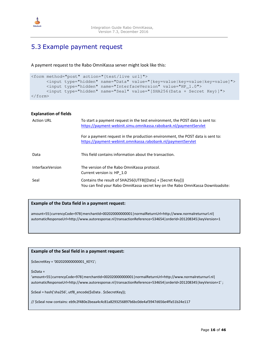<span id="page-15-0"></span>

### 5.3 Example payment request

A payment request to the Rabo OmniKassa server might look like this:

```
<form method="post" action="[test/live url]"> 
      <input type="hidden" name="Data" value="[key=value|key=value|key=value]"> 
      <input type="hidden" name="InterfaceVersion" value="HP_1.0"> 
      <input type="hidden" name="Seal" value="[SHA256(Data + Secret Key)]"> 
</form>
```

| <b>Explanation of fields</b> |                                                                                                                                                    |
|------------------------------|----------------------------------------------------------------------------------------------------------------------------------------------------|
| <b>Action URL</b>            | To start a payment request in the test environment, the POST data is sent to:<br>https://payment-webinit.simu.omnikassa.rabobank.nl/paymentServlet |
|                              | For a payment request in the production environment, the POST data is sent to:<br>https://payment-webinit.omnikassa.rabobank.nl/paymentServlet     |
| Data                         | This field contains information about the transaction.                                                                                             |
| <b>InterfaceVersion</b>      | The version of the Rabo OmniKassa protocol.<br>Current version is: HP 1.0                                                                          |
| Seal                         | Contains the result of SHA256(UTF8([Data] + [Secret Key]))<br>You can find your Rabo OmniKassa secret key on the Rabo OmniKassa Downloadsite:      |

#### **Example of the Data field in a payment request:**

amount=55|currencyCode=978|merchantId=002020000000001|normalReturnUrl=http://www.normalreturnurl.nl| automaticResponseUrl=http://www.autoresponse.nl|transactionReference=534654|orderId=201208345|keyVersion=1

#### **Example of the Seal field in a payment request:**

\$sSecretKey = '002020000000001\_KEY1';

\$sData =

'amount=55|currencyCode=978|merchantId=002020000000001|normalReturnUrl=http://www.normalreturnurl.nl| automaticResponseUrl=http://www.autoresponse.nl|transactionReference=534654|orderId=201208345|keyVersion=1';

\$sSeal = hash('sha256', utf8\_encode(\$sData . \$sSecretKey));

// \$sSeal now contains: eb9c2f480e2beaa4c4c81a8293256897b6bc0de4af3947d656e4ffa51b24e117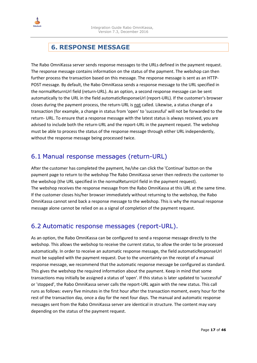<span id="page-16-0"></span>

## **6. RESPONSE MESSAGE**

The Rabo OmniKassa server sends response messages to the URLs defined in the payment request. The response message contains information on the status of the payment. The webshop can then further process the transaction based on this message. The response message is sent as an HTTP-POST message. By default, the Rabo OmniKassa sends a response message to the URL specified in the normalReturnUrl field (return-URL). As an option, a second response message can be sent automatically to the URL in the field automaticResponseUrl (report-URL). If the customer's browser closes during the payment process, the return-URL is not called. Likewise, a status change of a transaction (for example, a change in status from 'open' to 'successful' will not be forwarded to the return- URL. To ensure that a response message with the latest status is always received, you are advised to include both the return-URL and the report-URL in the payment request. The webshop must be able to process the status of the response message through either URL independently, without the response message being processed twice.

### 6.1 Manual response messages (return-URL)

After the customer has completed the payment, he/she can click the 'Continue' button on the payment page to return to the webshop The Rabo OmniKassa server then redirects the customer to the webshop (the URL specified in the normalReturnUrl field in the payment request). The webshop receives the response message from the Rabo OmniKassa at this URL at the same time. If the customer closes his/her browser immediately without returning to the webshop, the Rabo OmniKassa cannot send back a response message to the webshop. This is why the manual response message alone cannot be relied on as a signal of completion of the payment request.

### 6.2 Automatic response messages (report-URL).

As an option, the Rabo OmniKassa can be configured to send a response message directly to the webshop. This allows the webshop to receive the current status, to allow the order to be processed automatically. In order to receive an automatic response message, the field automaticResponseUrl must be supplied with the payment request. Due to the uncertainty on the receipt of a manual response message, we recommend that the automatic response message be configured as standard. This gives the webshop the required information about the payment. Keep in mind that some transactions may initially be assigned a status of 'open'. If this status is later updated to 'successful' or 'stopped', the Rabo OmniKassa server calls the report-URL again with the new status. This call runs as follows: every five minutes in the first hour after the transaction moment, every hour for the rest of the transaction day, once a day for the next four days. The manual and automatic response messages sent from the Rabo OmniKassa server are identical in structure. The content may vary depending on the status of the payment request.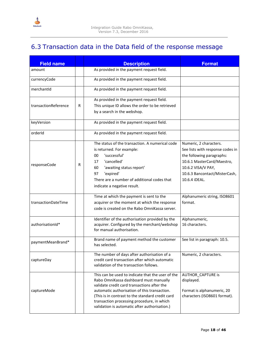<span id="page-17-0"></span>

## 6.3 Transaction data in the Data field of the response message

| <b>Field name</b>    |   | <b>Description</b>                                                                                                                                                                                                                                                                                                                            | <b>Format</b>                                                                                                                                                                                 |
|----------------------|---|-----------------------------------------------------------------------------------------------------------------------------------------------------------------------------------------------------------------------------------------------------------------------------------------------------------------------------------------------|-----------------------------------------------------------------------------------------------------------------------------------------------------------------------------------------------|
| amount               |   | As provided in the payment request field.                                                                                                                                                                                                                                                                                                     |                                                                                                                                                                                               |
| currencyCode         |   | As provided in the payment request field.                                                                                                                                                                                                                                                                                                     |                                                                                                                                                                                               |
| merchantId           |   | As provided in the payment request field.                                                                                                                                                                                                                                                                                                     |                                                                                                                                                                                               |
| transactionReference | R | As provided in the payment request field.<br>This unique ID allows the order to be retrieved<br>by a search in the webshop.                                                                                                                                                                                                                   |                                                                                                                                                                                               |
| keyVersion           |   | As provided in the payment request field.                                                                                                                                                                                                                                                                                                     |                                                                                                                                                                                               |
| orderId              |   | As provided in the payment request field.                                                                                                                                                                                                                                                                                                     |                                                                                                                                                                                               |
| responseCode         | R | The status of the transaction. A numerical code<br>is returned. For example:<br>'successful'<br>00<br>'cancelled'<br>17<br>60<br>'awaiting status report'<br>'expired'<br>97<br>There are a number of additional codes that<br>indicate a negative result.                                                                                    | Numeric, 2 characters.<br>See lists with response codes in<br>the following paragraphs:<br>10.6.1 MasterCard/Maestro,<br>10.6.2 VISA/V PAY,<br>10.6.3 Bancontact/MisterCash,<br>10.6.4 iDEAL. |
| transactionDateTime  |   | Time at which the payment is sent to the<br>acquirer or the moment at which the response<br>code is created on the Rabo OmniKassa server.                                                                                                                                                                                                     | Alphanumeric string, ISO8601<br>format.                                                                                                                                                       |
| authorisationId*     |   | Identifier of the authorisation provided by the<br>acquirer. Configured by the merchant/webshop<br>for manual authorisation.                                                                                                                                                                                                                  | Alphanumeric,<br>16 characters.                                                                                                                                                               |
| paymentMeanBrand*    |   | Brand name of payment method the customer<br>has selected.                                                                                                                                                                                                                                                                                    | See list in paragraph: 10.5.                                                                                                                                                                  |
| captureDay           |   | The number of days after authorisation of a<br>credit card transaction after which automatic<br>validation of the transaction follows.                                                                                                                                                                                                        | Numeric, 2 characters.                                                                                                                                                                        |
| captureMode          |   | This can be used to indicate that the user of the<br>Rabo OmniKassa dashboard must manually<br>validate credit card transactions after the<br>automatic authorisation of this transaction.<br>(This is in contrast to the standard credit card<br>transaction processing procedure, in which<br>validation is automatic after authorisation.) | AUTHOR_CAPTURE is<br>displayed.<br>Format is alphanumeric, 20<br>characters (ISO8601 format).                                                                                                 |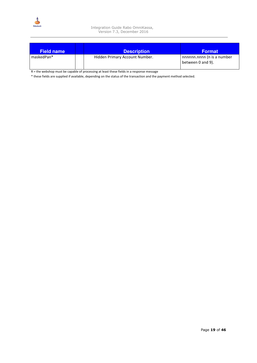

| <b>Field name</b> | <b>Description</b>             | <b>Format</b>                                   |
|-------------------|--------------------------------|-------------------------------------------------|
| maskedPan*        | Hidden Primary Account Number. | nnnnnn.nnnn (n is a number<br>between 0 and 9). |

R = the webshop must be capable of processing at least these fields in a response message

\* these fields are supplied if available, depending on the status of the transaction and the payment method selected.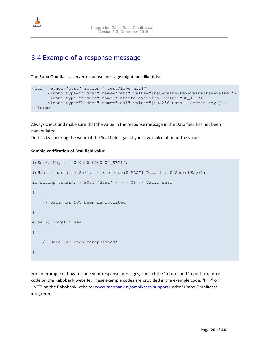<span id="page-19-0"></span>

### 6.4 Example of a response message

The Rabo OmniKassa server response message might look like this:

```
<form method="post" action="[test/live url]"> 
      <input type="hidden" name="Data" value="[key=value|key=value|key=value]">
      <input type="hidden" name="InterfaceVersion" value="HP_1.0"> 
      <input type="hidden" name="Seal" value="[SHA256(Data + Secret Key)]"> 
</form>
```
Always check and make sure that the value in the response message in the Data field has not been manipulated.

Do this by checking the value of the Seal field against your own calculation of the value.

#### **Sample verification of Seal field value**

```
$sSecretKey = '002020000000001_KEY1'; 
$sHash = hash('sha256', utf8_encode($_POST['Data'] . $sSecretKey)); 
if(strcmp($sHash, $_POST['Seal']) === 0) // Valid seal
{ 
     // Data has NOT been manipulated! 
} 
else // Invalid seal 
{ 
     // Data HAS been manipulated! 
}
```
For an example of how to code your response messages, consult the 'return' and 'report' example code on the Rabobank website. These example codes are provided in the example codes 'PHP' or '.NET' on the Rabobank website: [www.rabobank.nl/omnikassa-support](http://www.rabobank.nl/omnikassa-support) under '+Rabo OmniKassa integreren'.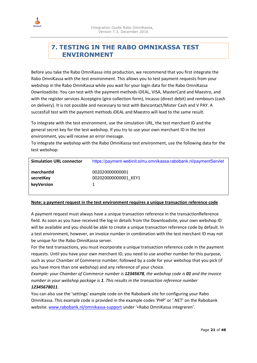<span id="page-20-0"></span>

### **7. TESTING IN THE RABO OMNIKASSA TEST ENVIRONMENT**

Before you take the Rabo OmniKassa into production, we recommend that you first integrate the Rabo OmniKassa with the test environment. This allows you to test payment requests from your webshop in the Rabo OmniKassa while you wait for your login data for the Rabo OmniKassa Downloadsite. You can test with the payment methods iDEAL, VISA, MasterCard and Maestro, and with the register services Acceptgiro (giro collection form), Incasso (direct debit) and rembours (cash on delivery). It is not possible and necessary to test with Bancontact/Mister Cash and V PAY. A succesfull test with the payment methods iDEAL and Maestro will lead to the same result.

To integrate with the test environment, use the simulation URL, the test merchant ID and the general secret key for the test webshop. If you try to use your own merchant ID in the test environment, you will receive an error message.

To integrate the webshop with the Rabo OmniKassa test environment, use the following data for the test webshop:

| <b>Simulation URL connector</b>       | https://payment-webinit.simu.omnikassa.rabobank.nl/paymentServlet |
|---------------------------------------|-------------------------------------------------------------------|
| merchantid<br>secretKey<br>keyVersion | 002020000000001<br>0020200000000001 KEY1                          |

#### **Note: a payment request in the test environment requires a unique transaction reference code**

A payment request must always have a unique transaction reference in the transactionReference field. As soon as you have received the log-in details from the Downloadsite, your own webshop ID will be available and you should be able to create a unique transaction reference code by default. In a test environment, however, an invoice number in combination with the test merchant ID may not be unique for the Rabo OmniKassa server.

For the test transactions, you must incorporate a unique transaction reference code in the payment requests. Until you have your own merchant ID, you need to use another number for this purpose, such as your Chamber of Commerce number, followed by a code for your webshop that you pick (if you have more than one webshop) and any reference of your choice.

*Example: your Chamber of Commerce number is 12345678, the webshop code is 01 and the invoice number in your webshop package is 1. This results in the transaction reference number 12345678011.* 

#### You can also use the 'settings' example code on the Rabobank site for configuring your Rabo OmniKassa. This example code is provided in the example codes 'PHP' or '.NET' on the Rabobank website: [www.rabobank.nl/omnikassa-support u](http://www.rabobank.nl/omnikassa-support)nder '+Rabo OmniKassa integreren'.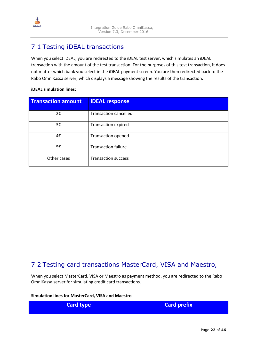<span id="page-21-0"></span>

### 7.1 Testing iDEAL transactions

When you select iDEAL, you are redirected to the iDEAL test server, which simulates an iDEAL transaction with the amount of the test transaction. For the purposes of this test transaction, it does not matter which bank you select in the iDEAL payment screen. You are then redirected back to the Rabo OmniKassa server, which displays a message showing the results of the transaction.

#### **iDEAL simulation lines:**

| <b>Transaction amount</b> | <b>iDEAL response</b>        |
|---------------------------|------------------------------|
| 2€                        | <b>Transaction cancelled</b> |
| 3€                        | <b>Transaction expired</b>   |
| 4€                        | Transaction opened           |
| 5€                        | <b>Transaction failure</b>   |
| Other cases               | <b>Transaction success</b>   |

### 7.2 Testing card transactions MasterCard, VISA and Maestro,

When you select MasterCard, VISA or Maestro as payment method, you are redirected to the Rabo OmniKassa server for simulating credit card transactions.

#### **Simulation lines for MasterCard, VISA and Maestro**

| <b>Card type</b> | <b>Card prefix</b> |
|------------------|--------------------|
|                  |                    |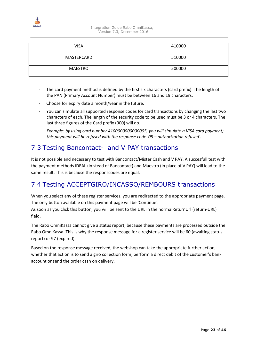<span id="page-22-0"></span>

| <b>VISA</b>    | 410000 |
|----------------|--------|
| MASTERCARD     | 510000 |
| <b>MAESTRO</b> | 500000 |

- The card payment method is defined by the first six characters (card prefix). The length of the PAN (Primary Account Number) must be between 16 and 19 characters.
- Choose for expiry date a month/year in the future.
- You can simulate all supported response codes for card transactions by changing the last two characters of each. The length of the security code to be used must be 3 or 4 characters. The last three figures of the Card prefix (000) will do.

*Example: by using card number 4100000000000005, you will simulate a VISA card payment; this payment will be refused with the response code '05 – authorization refused'.*

#### 7.3 Testing Bancontact- and V PAY transactions

It is not possible and necessary to test with Bancontact/Mister Cash and V PAY. A succesfull test with the payment methods iDEAL (in stead of Bancontact) and Maestro (in place of V PAY) will lead to the same result. This is because the responscodes are equal.

### 7.4 Testing ACCEPTGIRO/INCASSO/REMBOURS transactions

When you select any of these register services, you are redirected to the appropriate payment page. The only button available on this payment page will be 'Continue'.

As soon as you click this button, you will be sent to the URL in the normalReturnUrl (return-URL) field.

The Rabo OmniKassa cannot give a status report, because these payments are processed outside the Rabo OmniKassa. This is why the response message for a register service will be 60 (awaiting status report) or 97 (expired).

Based on the response message received, the webshop can take the appropriate further action, whether that action is to send a giro collection form, perform a direct debit of the customer's bank account or send the order cash on delivery.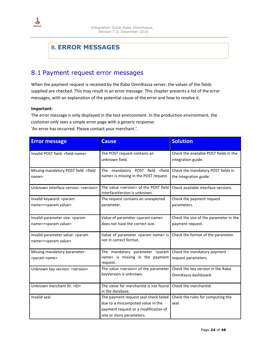<span id="page-23-0"></span>

## **8. ERROR MESSAGES**

#### 8.1 Payment request error messages

When the payment request is received by the Rabo OmniKassa server, the values of the fields supplied are checked. This may result in an error message. This chapter presents a list of the error messages, with an explanation of the potential cause of the error and how to resolve it.

#### **Important:**

The error message is only displayed in the test environment. In the production environment, the customer only sees a simple error page with a generic response:

'An error has occurred. Please contact your merchant.'.

| <b>Error message</b>                                             | <b>Cause</b>                                                                                                                                  | <b>Solution</b>                                              |
|------------------------------------------------------------------|-----------------------------------------------------------------------------------------------------------------------------------------------|--------------------------------------------------------------|
| Invalid POST field: < field name>                                | The POST request contains an<br>unknown field.                                                                                                | Check the available POST fields in the<br>integration guide. |
| Missing mandatory POST field: < field<br>name>                   | The mandatory POST field <field<br>name&gt; is missing in the POST request.</field<br>                                                        | Check the mandatory POST fields in<br>the integration guide. |
| Unknown interface version: <version></version>                   | The value <version> of the POST field<br/>InterfaceVersion is unknown.</version>                                                              | Check available interface versions.                          |
| Invalid keyword: <param<br>name&gt;=<param value=""/></param<br> | The request contains an unexpected<br>parameter.                                                                                              | Check the payment request<br>parameters.                     |
| Invalid parameter size: < param<br>name>= <param value=""/>      | Value of parameter <param name=""/><br>does not have the correct size.                                                                        | Check the size of the parameter in the<br>payment request.   |
| Invalid parameter value: < param<br>name>= <param value=""/>     | Value of parameter <param name=""/> is<br>not in correct format.                                                                              | Check the format of the parameter.                           |
| Missing mandatory parameter:<br><param name=""/>                 | The mandatory parameter <param<br>name&gt; is missing in the payment<br/>request.</param<br>                                                  | Check the mandatory payment<br>request parameters.           |
| Unknown key version: <version></version>                         | The value <version> of the parameter<br/>keyVersion is unknown.</version>                                                                     | Check the key version in the Rabo<br>OmniKassa dashboard.    |
| Unknown merchant ID: <id></id>                                   | The value for merchantid is not found<br>in the database.                                                                                     | Check the merchantId.                                        |
| Invalid seal                                                     | The payment request seal check failed<br>due to a miscomputed value in the<br>payment request or a modification of<br>one or more parameters. | Check the rules for computing the<br>seal.                   |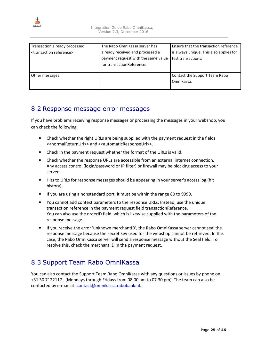<span id="page-24-0"></span>

| Transaction already processed:<br><transaction reference=""></transaction> | The Rabo OmniKassa server has<br>already received and processed a<br>payment request with the same value<br>for transactionReference. | Ensure that the transaction reference<br>is always unique. This also applies for<br>test transactions. |
|----------------------------------------------------------------------------|---------------------------------------------------------------------------------------------------------------------------------------|--------------------------------------------------------------------------------------------------------|
| Other messages                                                             |                                                                                                                                       | Contact the Support Team Rabo<br>OmniKassa.                                                            |

#### 8.2 Response message error messages

If you have problems receiving response messages or processing the messages in your webshop, you can check the following:

- Check whether the right URLs are being supplied with the payment request in the fields <<normalReturnUrl>> and <<automaticResponseUrl>>.
- Check in the payment request whether the format of the URLs is valid.
- Check whether the response URLs are accessible from an external internet connection. Any access control (login/password or IP filter) or firewall may be blocking access to your server.
- Hits to URLs for response messages should be appearing in your server's access log (hit history).
- If you are using a nonstandard port, it must be within the range 80 to 9999.
- You cannot add context parameters to the response URLs. Instead, use the unique transaction reference in the payment request field transactionReference. You can also use the orderID field, which is likewise supplied with the parameters of the response message.
- If you receive the error 'unknown merchantID', the Rabo OmniKassa server cannot seal the response message because the secret key used for the webshop cannot be retrieved. In this case, the Rabo OmniKassa server will send a response message without the Seal field. To resolve this, check the merchant ID in the payment request.

## 8.3 Support Team Rabo OmniKassa

You can also contact the Support Team Rabo OmniKassa with any questions or issues by phone on +31 30 7122117. (Mondays through Fridays from 08.00 am to 07.30 pm). The team can also be contacted by e-mail at: contact@omnikassa.rabobank.nl.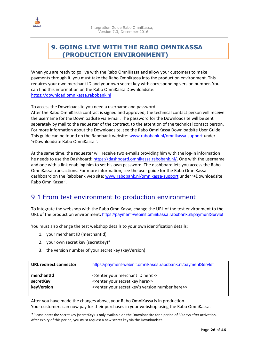<span id="page-25-0"></span>

### **9. GOING LIVE WITH THE RABO OMNIKASSA (PRODUCTION ENVIRONMENT)**

When you are ready to go live with the Rabo OmniKassa and allow your customers to make payments through it, you must take the Rabo OmniKassa into the production environment. This requires your own merchant ID and your own secret key with corresponding version number. You can find this information on the Rabo OmniKassa Downloadsite: [https://download.omnikassa.rabobank.nl](https://download.omnikassa.rabobank.nl/) 

To access the Downloadsite you need a username and password.

After the Rabo OmniKassa contract is signed and approved, the technical contact person will receive the username for the Downloadsite via e-mail. The password for the Downloadsite will be sent separately by mail to the requester of the contract, to the attention of the technical contact person. For more information about the Downloadsite, see the Rabo OmniKassa Downloadsite User Guide. This guide can be found on the Rabobank website: [www.rabobank.nl/omnikassa-support u](http://www.rabobank.nl/omnikassa-support)nder '+Downloadsite Rabo OmniKassa '.

At the same time, the requester will receive two e-mails providing him with the log-in information he needs to use the Dashboard: [https://dashboard.omnikassa.rabobank.nl/.](https://dashboard.omnikassa.rabobank.nl/) One with the username and one with a link enabling him to set his own password. The dashboard lets you access the Rabo OmniKassa transactions. For more information, see the user guide for the Rabo OmniKassa dashboard on the Rabobank web site: [www.rabobank.nl/omnikassa-support u](http://www.rabobank.nl/omnikassa-support)nder '+Downloadsite Rabo OmniKassa '.

### 9.1 From test environment to production environment

To integrate the webshop with the Rabo OmniKassa, change the URL of the test environment to the URL of the production environment: https://payment-webinit.omnikassa.rabobank.nl/paymentServlet

You must also change the test webshop details to your own identification details:

- 1. your merchant ID (merchantId)
- 2. your own secret key (secretKey)\*
- 3. the version number of your secret key (keyVersion)

| <b>URL redirect connector</b> | https://payment-webinit.omnikassa.rabobank.nl/paymentServlet                  |
|-------------------------------|-------------------------------------------------------------------------------|
| merchantid                    | < <enter here="" id="" merchant="" your="">&gt;</enter>                       |
| secretKey                     | < <enter here="" key="" secret="" your="">&gt;</enter>                        |
| keyVersion                    | < <enter here="" key's="" number="" secret="" version="" your="">&gt;</enter> |

After you have made the changes above, your Rabo OmniKassa is in production. Your customers can now pay for their purchases in your webshop using the Rabo OmniKassa.

\*Please note: the secret key (secretKey) is only available on the Downloadsite for a period of 30 days after activation. After expiry of this period, you must request a new secret key via the Downloadsite.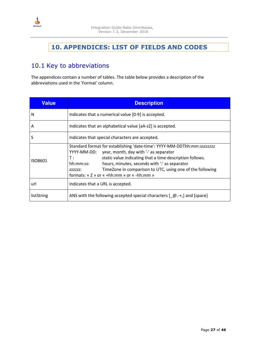<span id="page-26-0"></span>

## **10. APPENDICES: LIST OF FIELDS AND CODES**

## 10.1 Key to abbreviations

The appendices contain a number of tables. The table below provides a description of the abbreviations used in the 'Format' column.

| <b>Value</b> | <b>Description</b>                                                                                                                                                                                                                                                                                                                                                                    |  |  |
|--------------|---------------------------------------------------------------------------------------------------------------------------------------------------------------------------------------------------------------------------------------------------------------------------------------------------------------------------------------------------------------------------------------|--|--|
| N            | Indicates that a numerical value [0-9] is accepted.                                                                                                                                                                                                                                                                                                                                   |  |  |
| Α            | Indicates that an alphabetical value [aA-zZ] is accepted.                                                                                                                                                                                                                                                                                                                             |  |  |
| S            | Indicates that special characters are accepted.                                                                                                                                                                                                                                                                                                                                       |  |  |
| ISO8601      | Standard format for establishing 'date-time': YYYY-MM-DDThh:mm:sszzzzzz<br>YYYY-MM-DD: year, month, day with '-' as separator<br>static value indicating that a time description follows.<br>T :<br>hours, minutes, seconds with ": as separator<br>hh:mm:ss:<br>TimeZone in comparison to UTC, using one of the following<br>ZZZZZZ:<br>formats: « $Z$ » or « +hh:mm » or « -hh:mm » |  |  |
| url          | Indicates that a URL is accepted.                                                                                                                                                                                                                                                                                                                                                     |  |  |
| listString   | ANS with the following accepted special characters $[$ $\emptyset$ .-+, and [space]                                                                                                                                                                                                                                                                                                   |  |  |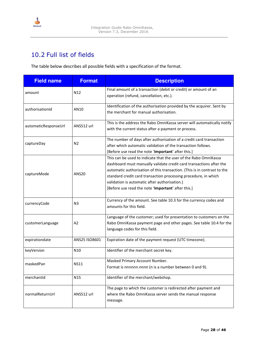<span id="page-27-0"></span>

### 10.2 Full list of fields

The table below describes all possible fields with a specification of the format.

| <b>Field name</b>    | <b>Format</b>   | <b>Description</b>                                                                                                                                                                                                                                                                                                                                                                            |  |
|----------------------|-----------------|-----------------------------------------------------------------------------------------------------------------------------------------------------------------------------------------------------------------------------------------------------------------------------------------------------------------------------------------------------------------------------------------------|--|
| amount               | N <sub>12</sub> | Final amount of a transaction (debit or credit) or amount of an<br>operation (refund, cancellation, etc.).                                                                                                                                                                                                                                                                                    |  |
| authorisationId      | AN10            | Identification of the authorisation provided by the acquirer. Sent by<br>the merchant for manual authorisation.                                                                                                                                                                                                                                                                               |  |
| automaticResponseUrl | ANS512 url      | This is the address the Rabo OmniKassa server will automatically notify<br>with the current status after a payment or process.                                                                                                                                                                                                                                                                |  |
| captureDay           | N <sub>2</sub>  | The number of days after authorisation of a credit card transaction<br>after which automatic validation of the transaction follows.<br>[Before use read the note 'Important' after this.]                                                                                                                                                                                                     |  |
| captureMode          | <b>ANS20</b>    | This can be used to indicate that the user of the Rabo OmniKassa<br>dashboard must manually validate credit card transactions after the<br>automatic authorisation of this transaction. (This is in contrast to the<br>standard credit card transaction processing procedure, in which<br>validation is automatic after authorisation.)<br>[Before use read the note 'Important' after this.] |  |
| currencyCode         | N3              | Currency of the amount. See table 10.3 for the currency codes and<br>amounts for this field.                                                                                                                                                                                                                                                                                                  |  |
| customerLanguage     | A2              | Language of the customer; used for presentation to customers on the<br>Rabo OmniKassa payment page and other pages. See table 10.4 for the<br>language codes for this field.                                                                                                                                                                                                                  |  |
| expirationdate       | ANS25 ISO8601   | Expiration date of the payment request (UTC timezone).                                                                                                                                                                                                                                                                                                                                        |  |
| keyVersion           | N <sub>10</sub> | Identifier of the merchant secret key.                                                                                                                                                                                                                                                                                                                                                        |  |
| maskedPan            | <b>NS11</b>     | Masked Primary Account Number.<br>Format is nnnnnn.nnnn (n is a number between 0 and 9).                                                                                                                                                                                                                                                                                                      |  |
| merchantId           | N <sub>15</sub> | Identifier of the merchant/webshop.                                                                                                                                                                                                                                                                                                                                                           |  |
| normalReturnUrl      | ANS512 url      | The page to which the customer is redirected after payment and<br>where the Rabo OmniKassa server sends the manual response<br>message.                                                                                                                                                                                                                                                       |  |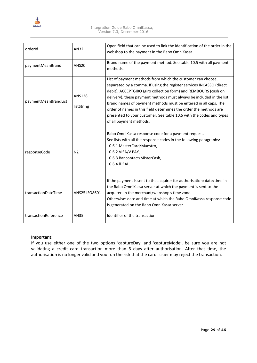

| orderId              | AN32                        | Open field that can be used to link the identification of the order in the<br>webshop to the payment in the Rabo OmniKassa.                                                                                                                                                                                                                                                                                                                                                                                               |  |
|----------------------|-----------------------------|---------------------------------------------------------------------------------------------------------------------------------------------------------------------------------------------------------------------------------------------------------------------------------------------------------------------------------------------------------------------------------------------------------------------------------------------------------------------------------------------------------------------------|--|
| paymentMeanBrand     | <b>ANS20</b>                | Brand name of the payment method. See table 10.5 with all payment<br>methods.                                                                                                                                                                                                                                                                                                                                                                                                                                             |  |
| paymentMeanBrandList | <b>ANS128</b><br>listString | List of payment methods from which the customer can choose,<br>separated by a comma. If using the register services INCASSO (direct<br>debit), ACCEPTGIRO (giro collection form) and REMBOURS (cash on<br>delivery), these payment methods must always be included in the list.<br>Brand names of payment methods must be entered in all caps. The<br>order of names in this field determines the order the methods are<br>presented to your customer. See table 10.5 with the codes and types<br>of all payment methods. |  |
| responseCode         | N <sub>2</sub>              | Rabo OmniKassa response code for a payment request.<br>See lists with all the response codes in the following paragraphs:<br>10.6.1 MasterCard/Maestro,<br>10.6.2 VISA/V PAY,<br>10.6.3 Bancontact/MisterCash,<br>10.6.4 iDEAL.                                                                                                                                                                                                                                                                                           |  |
| transactionDateTime  | ANS25 ISO8601               | If the payment is sent to the acquirer for authorisation: date/time in<br>the Rabo OmniKassa server at which the payment is sent to the<br>acquirer, in the merchant/webshop's time zone.<br>Otherwise: date and time at which the Rabo OmniKassa response code<br>is generated on the Rabo OmniKassa server.                                                                                                                                                                                                             |  |
| transactionReference | <b>AN35</b>                 | Identifier of the transaction.                                                                                                                                                                                                                                                                                                                                                                                                                                                                                            |  |

#### **Important:**

If you use either one of the two options 'captureDay' and 'captureMode', be sure you are not validating a credit card transaction more than 6 days after authorisation. After that time, the authorisation is no longer valid and you run the risk that the card issuer may reject the transaction.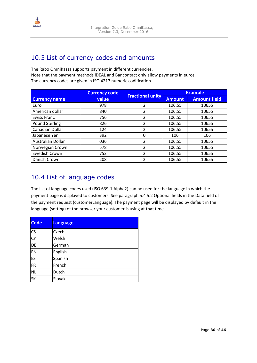<span id="page-29-0"></span>

### 10.3 List of currency codes and amounts

The Rabo OmniKassa supports payment in different currencies. Note that the payment methods iDEAL and Bancontact only allow payments in euros. The currency codes are given in ISO 4217 numeric codification.

|                       | <b>Currency code</b> |                         | <b>Example</b> |                     |
|-----------------------|----------------------|-------------------------|----------------|---------------------|
| <b>Currency name</b>  | value                | <b>Fractional unity</b> | <b>Amount</b>  | <b>Amount field</b> |
| Euro                  | 978                  | 2                       | 106.55         | 10655               |
| American dollar       | 840                  | 2                       | 106.55         | 10655               |
| Swiss Franc           | 756                  | 2                       | 106.55         | 10655               |
| <b>Pound Sterling</b> | 826                  |                         | 106.55         | 10655               |
| Canadian Dollar       | 124                  | 2                       | 106.55         | 10655               |
| Japanese Yen          | 392                  | 0                       | 106            | 106                 |
| Australian Dollar     | 036                  | 2                       | 106.55         | 10655               |
| Norwegian Crown       | 578                  | 2                       | 106.55         | 10655               |
| Swedish Crown         | 752                  | 2                       | 106.55         | 10655               |
| Danish Crown          | 208                  | 2                       | 106.55         | 10655               |

### 10.4 List of language codes

The list of language codes used (ISO 639-1 Alpha2) can be used for the language in which the payment page is displayed to customers. See paragraph 5.4 5.2 Optional fields in the Data field of the payment request (customerLanguage). The payment page will be displayed by default in the language (setting) of the browser your customer is using at that time.

| <b>Code</b> | <b>Language</b> |
|-------------|-----------------|
| <b>CS</b>   | Czech           |
| <b>CY</b>   | Welsh           |
| <b>DE</b>   | German          |
| EN          | English         |
| ES          | Spanish         |
| FR          | French          |
| <b>NL</b>   | Dutch           |
| <b>SK</b>   | Slovak          |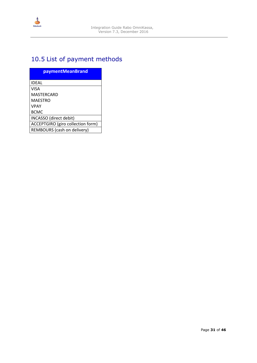<span id="page-30-0"></span>

## 10.5 List of payment methods

| <b>paymentMeanBrand</b>           |
|-----------------------------------|
| <b>IDFAL</b>                      |
| <b>VISA</b>                       |
| MASTERCARD                        |
| MAFSTRO                           |
| <b>VPAY</b>                       |
| <b>BCMC</b>                       |
| INCASSO (direct debit)            |
| ACCEPTGIRO (giro collection form) |
| REMBOURS (cash on delivery)       |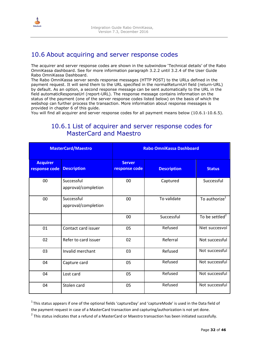<span id="page-31-0"></span>

#### 10.6 About acquiring and server response codes

The acquirer and server response codes are shown in the subwindow 'Technical details' of the Rabo OmniKassa dashboard. See for more information paragraph 3.2.2 until 3.2.4 of the User Guide Rabo OmniKassa Dashboard.

The Rabo OmniKassa server sends response messages (HTTP POST) to the URLs defined in the payment request. It will send them to the URL specified in the normalReturnUrl field (return-URL) by default. As an option, a second response message can be sent automatically to the URL in the field automaticResponseUrl (report-URL). The response message contains information on the status of the payment (one of the server response codes listed below) on the basis of which the webshop can further process the transaction. More information about response messages is provided in chapter 6 of this guide.

You will find all acquirer and server response codes for all payment means below (10.6.1-10.6.5).

### 10.6.1 List of acquirer and server response codes for MasterCard and Maestro

| <b>MasterCard/Maestro</b>        |                                   | <b>Rabo OmniKassa Dashboard</b> |                    |                            |
|----------------------------------|-----------------------------------|---------------------------------|--------------------|----------------------------|
| <b>Acquirer</b><br>response code | <b>Description</b>                | <b>Server</b><br>response code  | <b>Description</b> | <b>Status</b>              |
| 00                               | Successful<br>approval/completion | 00                              | Captured           | Successful                 |
| 00                               | Successful<br>approval/completion | 00                              | To validate        | To authorize <sup>1</sup>  |
|                                  |                                   | 00                              | Successful         | To be settled <sup>2</sup> |
| 01                               | Contact card issuer               | 05                              | Refused            | Niet succesvol             |
| 02                               | Refer to card issuer              | 02                              | Referral           | Not successful             |
| 03                               | Invalid merchant                  | 03                              | Refused            | Not successful             |
| 04                               | Capture card                      | 05                              | Refused            | Not successful             |
| 04                               | Lost card                         | 05                              | Refused            | Not successful             |
| 04                               | Stolen card                       | 05                              | Refused            | Not successful             |

 $1$ This status appears if one of the optional fields 'captureDay' and 'captureMode' is used in the Data field of the payment request in case of a MasterCard transaction and capturing/authorization is not yet done.  $^2$  This status indicates that a refund of a MasterCard or Maestro transaction has been initiated succesfully.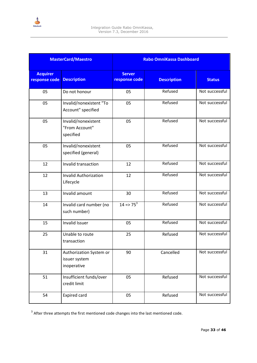

|                                  | <b>MasterCard/Maestro</b>                               |                                | <b>Rabo OmniKassa Dashboard</b> |                |
|----------------------------------|---------------------------------------------------------|--------------------------------|---------------------------------|----------------|
| <b>Acquirer</b><br>response code | <b>Description</b>                                      | <b>Server</b><br>response code | <b>Description</b>              | <b>Status</b>  |
| 05                               | Do not honour                                           | 05                             | Refused                         | Not successful |
| 05                               | Invalid/nonexistent "To<br>Account" specified           | 05                             | Refused                         | Not successful |
| 05                               | Invalid/nonexistent<br>"From Account"<br>specified      | 05                             | Refused                         | Not successful |
| 05                               | Invalid/nonexistent<br>specified (general)              | 05                             | Refused                         | Not successful |
| 12                               | Invalid transaction                                     | 12                             | Refused                         | Not successful |
| 12                               | <b>Invalid Authorization</b><br>Lifecycle               | 12                             | Refused                         | Not successful |
| 13                               | Invalid amount                                          | 30                             | Refused                         | Not successful |
| 14                               | Invalid card number (no<br>such number)                 | $14 = 75^3$                    | Refused                         | Not successful |
| 15                               | Invalid Issuer                                          | 05                             | Refused                         | Not successful |
| 25                               | Unable to route<br>transaction                          | 25                             | Refused                         | Not successful |
| 31                               | Authorization System or<br>issuer system<br>inoperative | 90                             | Cancelled                       | Not successful |
| 51                               | Insufficient funds/over<br>credit limit                 | 05                             | Refused                         | Not successful |
| 54                               | Expired card                                            | 05                             | Refused                         | Not successful |

 $3$  After three attempts the first mentioned code changes into the last mentioned code.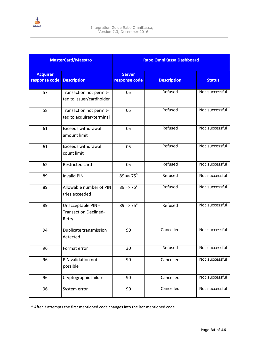

|                                  | <b>MasterCard/Maestro</b>                                   |                                | <b>Rabo OmniKassa Dashboard</b> |                |
|----------------------------------|-------------------------------------------------------------|--------------------------------|---------------------------------|----------------|
| <b>Acquirer</b><br>response code | <b>Description</b>                                          | <b>Server</b><br>response code | <b>Description</b>              | <b>Status</b>  |
| 57                               | Transaction not permit-<br>ted to issuer/cardholder         | 05                             | Refused                         | Not successful |
| 58                               | Transaction not permit-<br>ted to acquirer/terminal         | 05                             | Refused                         | Not successful |
| 61                               | <b>Exceeds withdrawal</b><br>amount limit                   | 05                             | Refused                         | Not successful |
| 61                               | <b>Exceeds withdrawal</b><br>count limit                    | 05                             | Refused                         | Not successful |
| 62                               | Restricted card                                             | 05                             | Refused                         | Not successful |
| 89                               | <b>Invalid PIN</b>                                          | $89 = 75^3$                    | Refused                         | Not successful |
| 89                               | Allowable number of PIN<br>tries exceeded                   | $89 = 75^3$                    | Refused                         | Not successful |
| 89                               | Unacceptable PIN -<br><b>Transaction Declined-</b><br>Retry | $89 = 75^3$                    | Refused                         | Not successful |
| 94                               | Duplicate transmission<br>detected                          | 90                             | Cancelled                       | Not successful |
| 96                               | Format error                                                | 30                             | Refused                         | Not successful |
| 96                               | PIN validation not<br>possible                              | 90                             | Cancelled                       | Not successful |
| 96                               | Cryptographic failure                                       | 90                             | Cancelled                       | Not successful |
| 96                               | System error                                                | 90                             | Cancelled                       | Not successful |

\* After 3 attempts the first mentioned code changes into the last mentioned code.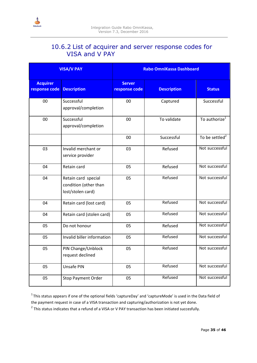<span id="page-34-0"></span>

### 10.6.2 List of acquirer and server response codes for VISA and V PAY

|                                  | <b>VISA/V PAY</b>                                                 |                                | <b>Rabo OmniKassa Dashboard</b> |                            |
|----------------------------------|-------------------------------------------------------------------|--------------------------------|---------------------------------|----------------------------|
| <b>Acquirer</b><br>response code | <b>Description</b>                                                | <b>Server</b><br>response code | <b>Description</b>              | <b>Status</b>              |
| 00                               | Successful<br>approval/completion                                 | 00                             | Captured                        | Successful                 |
| 00                               | Successful<br>approval/completion                                 | 00                             | To validate                     | To authorize <sup>1</sup>  |
|                                  |                                                                   | 00                             | Successful                      | To be settled <sup>2</sup> |
| 03                               | Invalid merchant or<br>service provider                           | 03                             | Refused                         | Not successful             |
| 04                               | Retain card                                                       | 05                             | Refused                         | Not successful             |
| 04                               | Retain card special<br>condition (other than<br>lost/stolen card) | 05                             | Refused                         | Not successful             |
| 04                               | Retain card (lost card)                                           | 05                             | Refused                         | Not successful             |
| 04                               | Retain card (stolen card)                                         | 05                             | Refused                         | Not successful             |
| 05                               | Do not honour                                                     | 05                             | Refused                         | Not successful             |
| 05                               | Invalid biller information                                        | 05                             | Refused                         | Not successful             |
| 05                               | PIN Change/Unblock<br>request declined                            | 05                             | Refused                         | Not successful             |
| 05                               | Unsafe PIN                                                        | 05                             | Refused                         | Not successful             |
| 05                               | <b>Stop Payment Order</b>                                         | 05                             | Refused                         | Not successful             |

 $1$ This status appears if one of the optional fields 'captureDay' and 'captureMode' is used in the Data field of the payment request in case of a VISA transaction and capturing/authorization is not yet done.

 $^2$  This status indicates that a refund of a VISA or V PAY transaction has been initiated succesfully.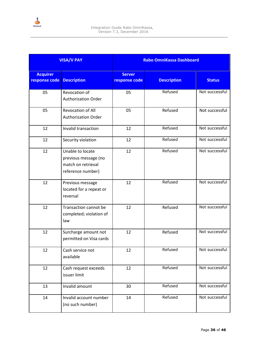

|                                  | <b>VISA/V PAY</b>                                                                   |                                | <b>Rabo OmniKassa Dashboard</b> |                |
|----------------------------------|-------------------------------------------------------------------------------------|--------------------------------|---------------------------------|----------------|
| <b>Acquirer</b><br>response code | <b>Description</b>                                                                  | <b>Server</b><br>response code | <b>Description</b>              | <b>Status</b>  |
| 05                               | Revocation of<br><b>Authorization Order</b>                                         | 05                             | Refused                         | Not successful |
| 05                               | Revocation of All<br><b>Authorization Order</b>                                     | 05                             | Refused                         | Not successful |
| 12                               | Invalid transaction                                                                 | 12                             | Refused                         | Not successful |
| 12                               | Security violation                                                                  | 12                             | Refused                         | Not successful |
| 12                               | Unable to locate<br>previous message (no<br>match on retrieval<br>reference number) | 12                             | Refused                         | Not successful |
| 12                               | Previous message<br>located for a repeat or<br>reversal                             | 12                             | Refused                         | Not successful |
| 12                               | Transaction cannot be<br>completed; violation of<br>law                             | 12                             | Refused                         | Not successful |
| 12                               | Surcharge amount not<br>permitted on Visa cards                                     | 12                             | Refused                         | Not successful |
| 12                               | Cash service not<br>available                                                       | 12                             | Refused                         | Not successful |
| 12                               | Cash request exceeds<br>issuer limit                                                | 12                             | Refused                         | Not successful |
| 13                               | Invalid amount                                                                      | 30                             | Refused                         | Not successful |
| 14                               | Invalid account number<br>(no such number)                                          | 14                             | Refused                         | Not successful |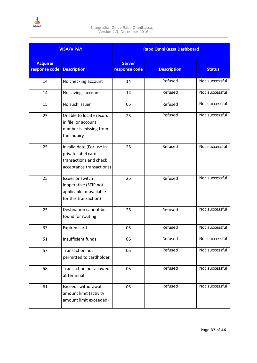

| <b>VISA/V PAY</b>                |                                                                                                      | <b>Rabo OmniKassa Dashboard</b> |                    |                |
|----------------------------------|------------------------------------------------------------------------------------------------------|---------------------------------|--------------------|----------------|
| <b>Acquirer</b><br>response code | <b>Description</b>                                                                                   | <b>Server</b><br>response code  | <b>Description</b> | <b>Status</b>  |
| 14                               | No checking account                                                                                  | 14                              | Refused            | Not successful |
| 14                               | No savings account                                                                                   | 14                              | Refused            | Not successful |
| 15                               | No such issuer                                                                                       | 05                              | Refused            | Not successful |
| 25                               | Unable to locate record<br>in file or account<br>number is missing from<br>the inquiry               | 25                              | Refused            | Not successful |
| 25                               | Invalid date (For use in<br>private label card<br>transactions and check<br>acceptance transactions) | 25                              | Refused            | Not successful |
| 25                               | Issuer or switch<br>inoperative (STIP not<br>applicable or available<br>for this transaction)        | 25                              | Refused            | Not successful |
| 25                               | Destination cannot be<br>found for routing                                                           | 25                              | Refused            | Not successful |
| 33                               | <b>Expired card</b>                                                                                  | 05                              | Refused            | Not successful |
| 51                               | Insufficient funds                                                                                   | 05                              | Refused            | Not successful |
| 57                               | Transaction not<br>permitted to cardholder                                                           | 05                              | Refused            | Not successful |
| 58                               | Transaction not allowed<br>at terminal                                                               | 05                              | Refused            | Not successful |
| 61                               | <b>Exceeds withdrawal</b><br>amount limit (activity<br>amount limit exceeded)                        | 05                              | Refused            | Not successful |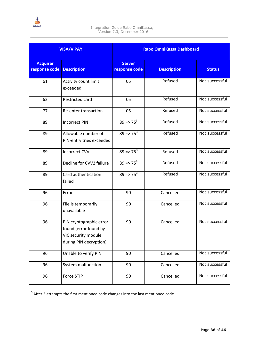

| <b>VISA/V PAY</b>                |                                                                                                   |                                | <b>Rabo OmniKassa Dashboard</b> |                |
|----------------------------------|---------------------------------------------------------------------------------------------------|--------------------------------|---------------------------------|----------------|
| <b>Acquirer</b><br>response code | <b>Description</b>                                                                                | <b>Server</b><br>response code | <b>Description</b>              | <b>Status</b>  |
| 61                               | Activity count limit<br>exceeded                                                                  | 05                             | Refused                         | Not successful |
| 62                               | Restricted card                                                                                   | 05                             | Refused                         | Not successful |
| 77                               | Re-enter transaction                                                                              | 05                             | Refused                         | Not successful |
| 89                               | <b>Incorrect PIN</b>                                                                              | $89 = 75^3$                    | Refused                         | Not successful |
| 89                               | Allowable number of<br>PIN-entry tries exceeded                                                   | $89 = 75^3$                    | Refused                         | Not successful |
| 89                               | <b>Incorrect CVV</b>                                                                              | $89 = 75^3$                    | Refused                         | Not successful |
| 89                               | Decline for CVV2 failure                                                                          | $89 = 75^3$                    | Refused                         | Not successful |
| 89                               | Card authentication<br>failed                                                                     | $89 = 75^3$                    | Refused                         | Not successful |
| 96                               | Error                                                                                             | 90                             | Cancelled                       | Not successful |
| 96                               | File is temporarily<br>unavailable                                                                | 90                             | Cancelled                       | Not successful |
| 96                               | PIN cryptographic error<br>found (error found by<br>VIC security module<br>during PIN decryption) | 90                             | Cancelled                       | Not successful |
| 96                               | Unable to verify PIN                                                                              | 90                             | Cancelled                       | Not successful |
| 96                               | System malfunction                                                                                | 90                             | Cancelled                       | Not successful |
| 96                               | Force STIP                                                                                        | 90                             | Cancelled                       | Not successful |

 $3$  After 3 attempts the first mentioned code changes into the last mentioned code.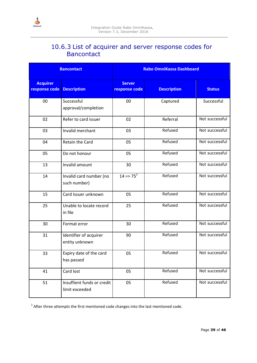<span id="page-38-0"></span>

### 10.6.3 List of acquirer and server response codes for Bancontact

| <b>Bancontact</b>                |                                              | <b>Rabo OmniKassa Dashboard</b> |                    |                |
|----------------------------------|----------------------------------------------|---------------------------------|--------------------|----------------|
| <b>Acquirer</b><br>response code | <b>Description</b>                           | <b>Server</b><br>response code  | <b>Description</b> | <b>Status</b>  |
| 00                               | Successful<br>approval/completion            | 00                              | Captured           | Successful     |
| 02                               | Refer to card issuer                         | 02                              | Referral           | Not successful |
| 03                               | Invalid merchant                             | 03                              | Refused            | Not successful |
| 04                               | Retain the Card                              | 05                              | Refused            | Not successful |
| 05                               | Do not honour                                | 05                              | Refused            | Not successful |
| 13                               | Invalid amount                               | 30                              | Refused            | Not successful |
| 14                               | Invalid card number (no<br>such number)      | $14 = 75^2$                     | Refused            | Not successful |
| 15                               | Card Issuer unknown                          | 05                              | Refused            | Not successful |
| 25                               | Unable to locate record<br>in file           | 25                              | Refused            | Not successful |
| 30                               | Format error                                 | 30                              | Refused            | Not successful |
| 31                               | Identifier of acquirer<br>entity unknown     | 90                              | Refused            | Not successful |
| 33                               | Expiry date of the card<br>has passed        | 05                              | Refused            | Not successful |
| 41                               | Card lost                                    | 05                              | Refused            | Not successful |
| 51                               | Insuffient funds or credit<br>limit exceeded | 05                              | Refused            | Not successful |

 $2$  After three attempts the first mentioned code changes into the last mentioned code.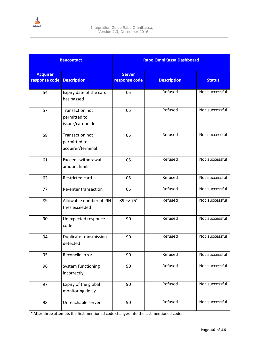

| <b>Bancontact</b>                |                                                      | <b>Rabo OmniKassa Dashboard</b> |                    |                |  |
|----------------------------------|------------------------------------------------------|---------------------------------|--------------------|----------------|--|
| <b>Acquirer</b><br>response code | <b>Description</b>                                   | <b>Server</b><br>response code  | <b>Description</b> | <b>Status</b>  |  |
| 54                               | Expiry date of the card<br>has passed                | 05                              | Refused            | Not successful |  |
| 57                               | Transaction not<br>permitted to<br>issuer/cardholder | 05                              | Refused            | Not successful |  |
| 58                               | Transaction not<br>permitted to<br>acquirer/terminal | 05                              | Refused            | Not successful |  |
| 61                               | <b>Exceeds withdrawal</b><br>amount limit            | 05                              | Refused            | Not successful |  |
| 62                               | Restricted card                                      | 05                              | Refused            | Not successful |  |
| 77                               | Re-enter transaction                                 | 05                              | Refused            | Not successful |  |
| 89                               | Allowable number of PIN<br>tries exceeded            | $89 = 75^2$                     | Refused            | Not successful |  |
| 90                               | Unexpected responce<br>code                          | 90                              | Refused            | Not successful |  |
| 94                               | Duplicate transmission<br>detected                   | 90                              | Refused            | Not successful |  |
| 95                               | Reconcile error                                      | 90                              | Refused            | Not successful |  |
| 96                               | System functioning<br>incorrectly                    | 90                              | Refused            | Not successful |  |
| 97                               | Expiry of the global<br>monitoring delay             | 90                              | Refused            | Not successful |  |
| 98                               | Unreachable server                                   | 90                              | Refused            | Not successful |  |

 $2$  After three attempts the first mentioned code changes into the last mentioned code.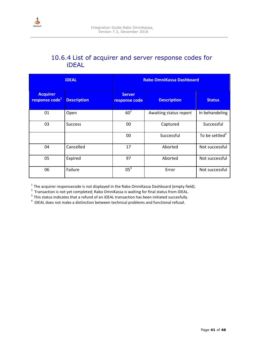<span id="page-40-0"></span>

### 10.6.4 List of acquirer and server response codes for iDEAL

|                                               | <b>iDEAL</b>       | <b>Rabo OmniKassa Dashboard</b> |                        |                            |
|-----------------------------------------------|--------------------|---------------------------------|------------------------|----------------------------|
| <b>Acquirer</b><br>response code <sup>1</sup> | <b>Description</b> | <b>Server</b><br>response code  | <b>Description</b>     | <b>Status</b>              |
| 01                                            | Open               | $60^2$                          | Awaiting status report | In behandeling             |
| 03                                            | <b>Success</b>     | 00                              | Captured               | Successful                 |
|                                               |                    | 00                              | Successful             | To be settled <sup>3</sup> |
| 04                                            | Cancelled          | 17                              | Aborted                | Not successful             |
| 05                                            | Expired            | 97                              | Aborted                | Not successful             |
| 06                                            | Failure            | 05 <sup>4</sup>                 | Error                  | Not successful             |

<sup>1</sup> The acquirer responsecode is not displayed in the Rabo OmniKassa Dashboard (empty field).<br><sup>2</sup> Transaction is not yet completed; Rabo OmniKassa is waiting for final status from iDEAL.

 $3$  This status indicates that a refund of an iDEAL transaction has been initiated succesfully.

 $4$  iDEAL does not make a distinction between technical problems and functional refusal.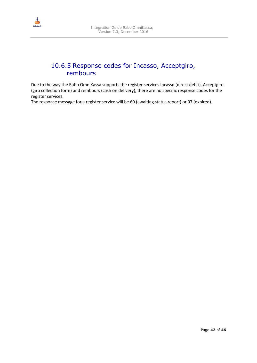<span id="page-41-0"></span>

### 10.6.5 Response codes for Incasso, Acceptgiro, rembours

Due to the way the Rabo OmniKassa supports the register services Incasso (direct debit), Acceptgiro (giro collection form) and rembours (cash on delivery), there are no specific response codes for the register services.

The response message for a register service will be 60 (awaiting status report) or 97 (expired).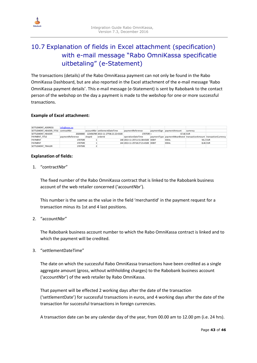

## 10.7 Explanation of fields in Excel attachment (specification) with e-mail message "Rabo OmniKassa specificatie uitbetaling" (e-Statement)

The transactions (details) of the Rabo OmniKassa payment can not only be found in the Rabo OmniKassa Dashboard, but are also reported in the Excel attachment of the e-mail message 'Rabo OmniKassa payment details'. This e-mail message (e-Statement) is sent by Rabobank to the contact person of the webshop on the day a payment is made to the webshop for one or more successful transactions.

#### **Example of Excel attachment:**

| SETTLEMENT ADDRESS                  | $info@xxxx$ $xx$ |        |                                             |                                    |                                                                    |          |  |
|-------------------------------------|------------------|--------|---------------------------------------------|------------------------------------|--------------------------------------------------------------------|----------|--|
| SETTLEMENT HEADER TITLE contractNbr |                  |        | accountNbr settlementDateTime               | paymentReference                   | paymentSign paymentAmount                                          | currency |  |
| SETTLEMENT HEADER                   |                  |        | 20200000 123456789 2013-11-27T06:21:22+0100 | 1707599 +                          | 67.66 EUR                                                          |          |  |
| PAYMENT TITLE                       | paymentReference | shopid | orderId                                     | operationDateTime                  | paymentType paymentMeanBrand transactionAmount transactionCurrency |          |  |
| <b>PAYMENT</b>                      | 1707599          |        |                                             | 148 2013-11-25T11:51:38+0100 DEBIT | <b>IDEAL</b>                                                       | 59.2 EUR |  |
| PAYMENT                             | 1707599          |        |                                             | 144 2013-11-25T18:27:21+0100 DEBIT | <b>IDEAL</b>                                                       | 8.46 EUR |  |
| SETTLEMENT TRAILER                  | 1707599          |        |                                             |                                    |                                                                    |          |  |

#### **Explanation of fields:**

1. "contractNbr"

The fixed number of the Rabo OmniKassa contract that is linked to the Rabobank business account of the web retailer concerned ('accountNbr').

This number is the same as the value in the field 'merchantId' in the payment request for a transaction minus its 1st and 4 last positions.

#### 2. "accountNbr"

The Rabobank business account number to which the Rabo OmniKassa contract is linked and to which the payment will be credited.

3. "settlementDateTime"

The date on which the successful Rabo OmniKassa transactions have been credited as a single aggregate amount (gross, without withholding charges) to the Rabobank business account ('accountNbr') of the web retailer by Rabo OmniKassa.

That payment will be effected 2 working days after the date of the transaction ('settlementDate') for successful transactions in euros, and 4 working days after the date of the transaction for successful transactions in foreign currencies.

A transaction date can be any calendar day of the year, from 00.00 am to 12.00 pm (i.e. 24 hrs).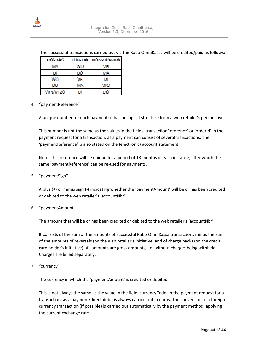

|  |                             | The successful transactions carried out via the Rabo OmniKassa will be credited/paid as follows: |
|--|-----------------------------|--------------------------------------------------------------------------------------------------|
|  | TRX-DAG EUR-TRX NON-EUR-TRX |                                                                                                  |

| <b>I INSTALLATION OF A</b> | <b><i><u> 1999 N. I. Rot.</u></i></b> | <b>IN SERVICE AND IN THE NEW</b> |
|----------------------------|---------------------------------------|----------------------------------|
| MΑ                         | WO.                                   | VR                               |
| DI                         | DÒ                                    | MA                               |
| WO                         | VR.                                   |                                  |
| DŌ                         | MA.                                   | WO                               |
| VR t/m ZO                  |                                       | DO                               |

#### 4. "paymentReference"

A unique number for each payment; it has no logical structure from a web retailer's perspective.

This number is not the same as the values in the fields 'transactionReference' or 'orderId' in the payment request for a transaction, as a payment can consist of several transactions. The 'paymentReference' is also stated on the (electronic) account statement.

Note: This reference will be unique for a period of 13 months in each instance, after which the same 'paymentReference' can be re-used for payments.

#### 5. "paymentSign"

A plus (+) or minus sign (-) indicating whether the 'paymentAmount' will be or has been credited or debited to the web retailer's 'accountNbr'.

6. "paymentAmount"

The amount that will be or has been credited or debited to the web retailer's 'accountNbr'.

It consists of the sum of the amounts of successful Rabo OmniKassa transactions minus the sum of the amounts of reversals (on the web retailer's initiative) and of charge backs (on the credit card holder's initiative). All amounts are gross amounts, i.e. without charges being withheld. Charges are billed separately.

7. "currency"

The currency in which the 'paymentAmount' is credited or debited.

This is not always the same as the value in the field 'currencyCode' in the payment request for a transaction, as a payment/direct debit is always carried out in euros. The conversion of a foreign currency transaction (if possible) is carried out automatically by the payment method, applying the current exchange rate.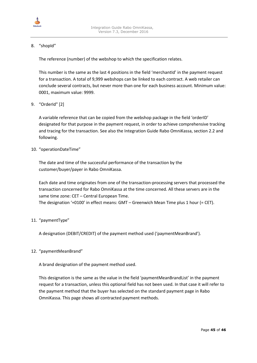

#### 8. "shopId"

The reference (number) of the webshop to which the specification relates.

This number is the same as the last 4 positions in the field 'merchantId' in the payment request for a transaction. A total of 9,999 webshops can be linked to each contract. A web retailer can conclude several contracts, but never more than one for each business account. Minimum value: 0001, maximum value: 9999.

#### 9. "OrderId" [2]

A variable reference that can be copied from the webshop package in the field 'orderID' designated for that purpose in the payment request, in order to achieve comprehensive tracking and tracing for the transaction. See also the Integration Guide Rabo OmniKassa, section 2.2 and following.

#### 10. "operationDateTime"

The date and time of the successful performance of the transaction by the customer/buyer/payer in Rabo OmniKassa.

Each date and time originates from one of the transaction-processing servers that processed the transaction concerned for Rabo OmniKassa at the time concerned. All these servers are in the same time zone: CET – Central European Time. The designation '+0100' in effect means: GMT – Greenwich Mean Time plus 1 hour (= CET).

#### 11. "paymentType"

A designation (DEBIT/CREDIT) of the payment method used ('paymentMeanBrand').

#### 12. "paymentMeanBrand"

A brand designation of the payment method used.

This designation is the same as the value in the field 'paymentMeanBrandList' in the payment request for a transaction, unless this optional field has not been used. In that case it will refer to the payment method that the buyer has selected on the standard payment page in Rabo OmniKassa. This page shows all contracted payment methods.